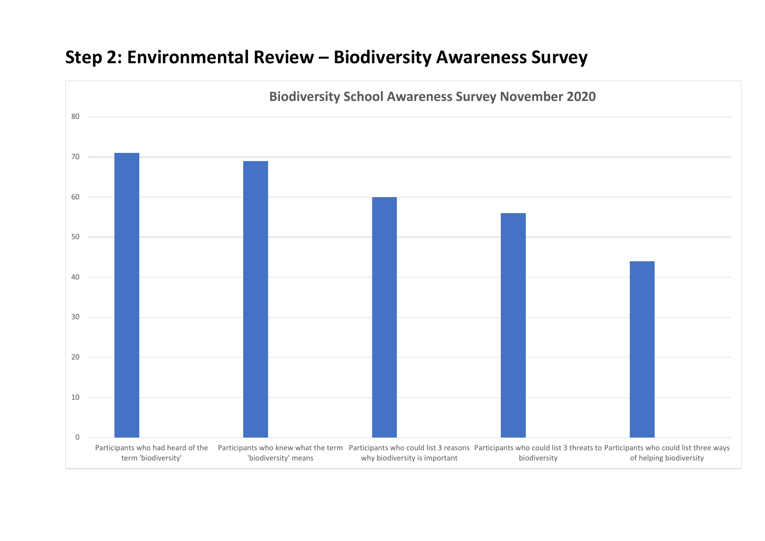## **Step 2: Environmental Review – Biodiversity Awareness Survey**